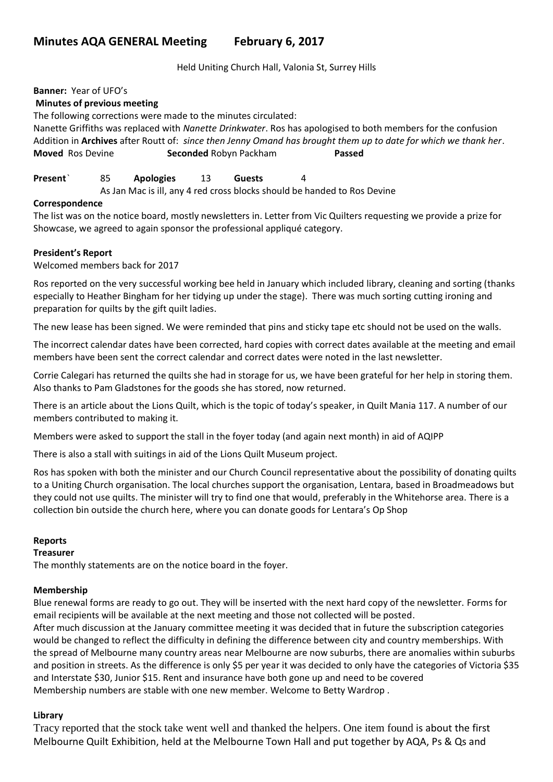# **Minutes AQA GENERAL Meeting February 6, 2017**

Held Uniting Church Hall, Valonia St, Surrey Hills

**Banner:** Year of UFO's

#### **Minutes of previous meeting**

The following corrections were made to the minutes circulated:

Nanette Griffiths was replaced with *Nanette Drinkwater*. Ros has apologised to both members for the confusion Addition in **Archives** after Routt of: *since then Jenny Omand has brought them up to date for which we thank her*. **Moved** Ros Devine **Seconded** Robyn Packham **Passed**

#### **Present**` 85 **Apologies** 13 **Guests** 4

As Jan Mac is ill, any 4 red cross blocks should be handed to Ros Devine

#### **Correspondence**

The list was on the notice board, mostly newsletters in. Letter from Vic Quilters requesting we provide a prize for Showcase, we agreed to again sponsor the professional appliqué category.

#### **President's Report**

Welcomed members back for 2017

Ros reported on the very successful working bee held in January which included library, cleaning and sorting (thanks especially to Heather Bingham for her tidying up under the stage). There was much sorting cutting ironing and preparation for quilts by the gift quilt ladies.

The new lease has been signed. We were reminded that pins and sticky tape etc should not be used on the walls.

The incorrect calendar dates have been corrected, hard copies with correct dates available at the meeting and email members have been sent the correct calendar and correct dates were noted in the last newsletter.

Corrie Calegari has returned the quilts she had in storage for us, we have been grateful for her help in storing them. Also thanks to Pam Gladstones for the goods she has stored, now returned.

There is an article about the Lions Quilt, which is the topic of today's speaker, in Quilt Mania 117. A number of our members contributed to making it.

Members were asked to support the stall in the foyer today (and again next month) in aid of AQIPP

There is also a stall with suitings in aid of the Lions Quilt Museum project.

Ros has spoken with both the minister and our Church Council representative about the possibility of donating quilts to a Uniting Church organisation. The local churches support the organisation, Lentara, based in Broadmeadows but they could not use quilts. The minister will try to find one that would, preferably in the Whitehorse area. There is a collection bin outside the church here, where you can donate goods for Lentara's Op Shop

#### **Reports**

#### **Treasurer**

The monthly statements are on the notice board in the foyer.

#### **Membership**

Blue renewal forms are ready to go out. They will be inserted with the next hard copy of the newsletter. Forms for email recipients will be available at the next meeting and those not collected will be posted. After much discussion at the January committee meeting it was decided that in future the subscription categories would be changed to reflect the difficulty in defining the difference between city and country memberships. With the spread of Melbourne many country areas near Melbourne are now suburbs, there are anomalies within suburbs and position in streets. As the difference is only \$5 per year it was decided to only have the categories of Victoria \$35 and Interstate \$30, Junior \$15. Rent and insurance have both gone up and need to be covered Membership numbers are stable with one new member. Welcome to Betty Wardrop .

## **Library**

Tracy reported that the stock take went well and thanked the helpers. One item found is about the first Melbourne Quilt Exhibition, held at the Melbourne Town Hall and put together by AQA, Ps & Qs and